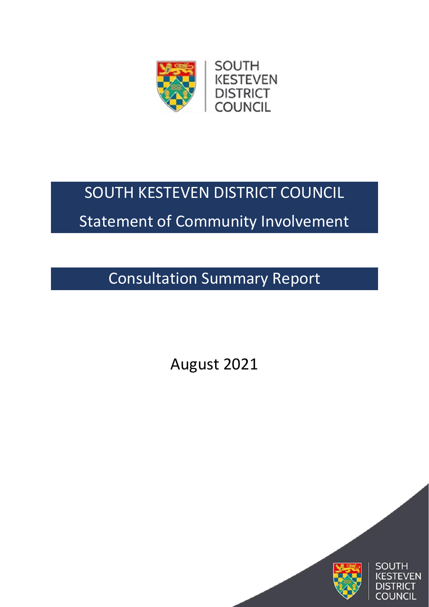

# SOUTH KESTEVEN DISTRICT COUNCIL

## Statement of Community Involvement

Consultation Summary Report

August 2021

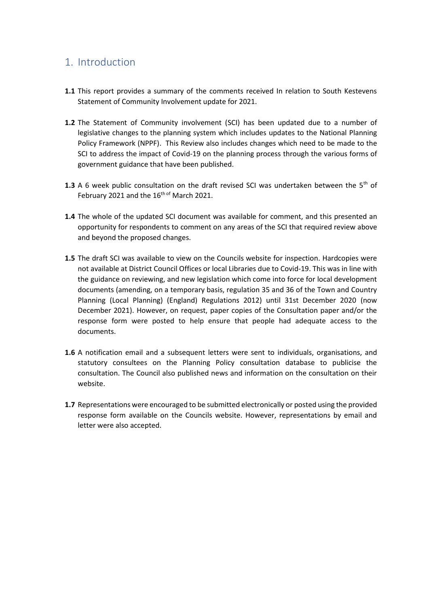### 1. Introduction

- **1.1** This report provides a summary of the comments received In relation to South Kestevens Statement of Community Involvement update for 2021.
- **1.2** The Statement of Community involvement (SCI) has been updated due to a number of legislative changes to the planning system which includes updates to the National Planning Policy Framework (NPPF). This Review also includes changes which need to be made to the SCI to address the impact of Covid-19 on the planning process through the various forms of government guidance that have been published.
- **1.3** A 6 week public consultation on the draft revised SCI was undertaken between the 5<sup>th</sup> of February 2021 and the 16<sup>th of</sup> March 2021.
- **1.4** The whole of the updated SCI document was available for comment, and this presented an opportunity for respondents to comment on any areas of the SCI that required review above and beyond the proposed changes.
- **1.5** The draft SCI was available to view on the Councils website for inspection. Hardcopies were not available at District Council Offices or local Libraries due to Covid-19. This was in line with the guidance on reviewing, and new legislation which come into force for local development documents (amending, on a temporary basis, regulation 35 and 36 of the Town and Country Planning (Local Planning) (England) Regulations 2012) until 31st December 2020 (now December 2021). However, on request, paper copies of the Consultation paper and/or the response form were posted to help ensure that people had adequate access to the documents.
- **1.6** A notification email and a subsequent letters were sent to individuals, organisations, and statutory consultees on the Planning Policy consultation database to publicise the consultation. The Council also published news and information on the consultation on their website.
- **1.7** Representations were encouraged to be submitted electronically or posted using the provided response form available on the Councils website. However, representations by email and letter were also accepted.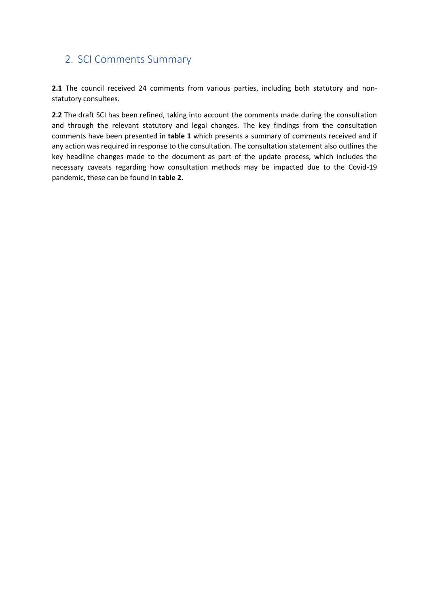### 2. SCI Comments Summary

2.1 The council received 24 comments from various parties, including both statutory and nonstatutory consultees.

**2.2** The draft SCI has been refined, taking into account the comments made during the consultation and through the relevant statutory and legal changes. The key findings from the consultation comments have been presented in **table 1** which presents a summary of comments received and if any action was required in response to the consultation. The consultation statement also outlines the key headline changes made to the document as part of the update process, which includes the necessary caveats regarding how consultation methods may be impacted due to the Covid-19 pandemic, these can be found in **table 2.**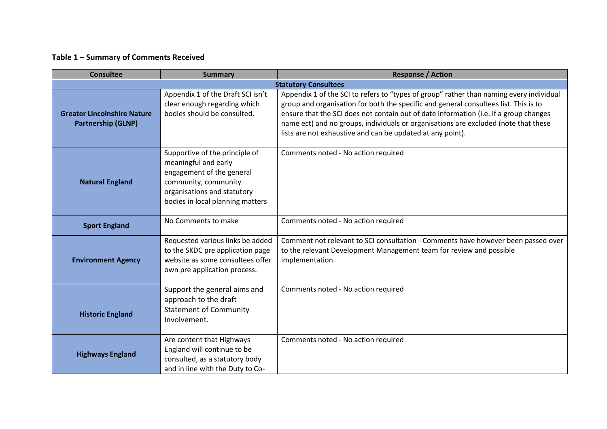#### **Table 1 – Summary of Comments Received**

| <b>Consultee</b>                                                | <b>Summary</b>                                                                                                                                                                 | <b>Response / Action</b>                                                                                                                                                                                                                                                                                                                                                                                                      |
|-----------------------------------------------------------------|--------------------------------------------------------------------------------------------------------------------------------------------------------------------------------|-------------------------------------------------------------------------------------------------------------------------------------------------------------------------------------------------------------------------------------------------------------------------------------------------------------------------------------------------------------------------------------------------------------------------------|
|                                                                 |                                                                                                                                                                                | <b>Statutory Consultees</b>                                                                                                                                                                                                                                                                                                                                                                                                   |
| <b>Greater Lincolnshire Nature</b><br><b>Partnership (GLNP)</b> | Appendix 1 of the Draft SCI isn't<br>clear enough regarding which<br>bodies should be consulted.                                                                               | Appendix 1 of the SCI to refers to "types of group" rather than naming every individual<br>group and organisation for both the specific and general consultees list. This is to<br>ensure that the SCI does not contain out of date information (i.e. if a group changes<br>name ect) and no groups, individuals or organisations are excluded (note that these<br>lists are not exhaustive and can be updated at any point). |
| <b>Natural England</b>                                          | Supportive of the principle of<br>meaningful and early<br>engagement of the general<br>community, community<br>organisations and statutory<br>bodies in local planning matters | Comments noted - No action required                                                                                                                                                                                                                                                                                                                                                                                           |
| <b>Sport England</b>                                            | No Comments to make                                                                                                                                                            | Comments noted - No action required                                                                                                                                                                                                                                                                                                                                                                                           |
| <b>Environment Agency</b>                                       | Requested various links be added<br>to the SKDC pre application page<br>website as some consultees offer<br>own pre application process.                                       | Comment not relevant to SCI consultation - Comments have however been passed over<br>to the relevant Development Management team for review and possible<br>implementation.                                                                                                                                                                                                                                                   |
| <b>Historic England</b>                                         | Support the general aims and<br>approach to the draft<br><b>Statement of Community</b><br>Involvement.                                                                         | Comments noted - No action required                                                                                                                                                                                                                                                                                                                                                                                           |
| <b>Highways England</b>                                         | Are content that Highways<br>England will continue to be<br>consulted, as a statutory body<br>and in line with the Duty to Co-                                                 | Comments noted - No action required                                                                                                                                                                                                                                                                                                                                                                                           |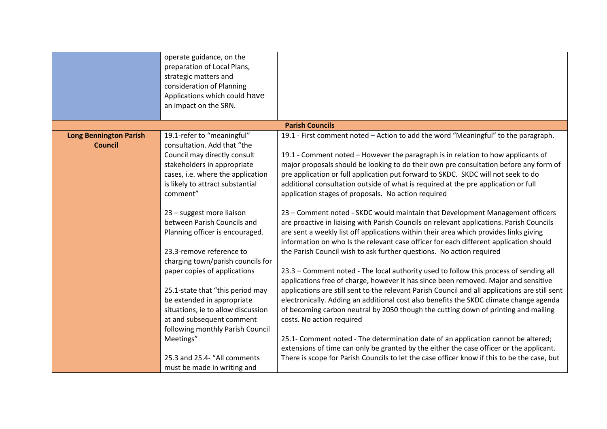|                                                 | operate guidance, on the<br>preparation of Local Plans,<br>strategic matters and<br>consideration of Planning<br>Applications which could have                                                                |                                                                                                                                                                                                                                                                                                                                                                                                                                                                                                   |
|-------------------------------------------------|---------------------------------------------------------------------------------------------------------------------------------------------------------------------------------------------------------------|---------------------------------------------------------------------------------------------------------------------------------------------------------------------------------------------------------------------------------------------------------------------------------------------------------------------------------------------------------------------------------------------------------------------------------------------------------------------------------------------------|
|                                                 | an impact on the SRN.                                                                                                                                                                                         |                                                                                                                                                                                                                                                                                                                                                                                                                                                                                                   |
|                                                 |                                                                                                                                                                                                               | <b>Parish Councils</b>                                                                                                                                                                                                                                                                                                                                                                                                                                                                            |
| <b>Long Bennington Parish</b><br><b>Council</b> | 19.1-refer to "meaningful"<br>consultation. Add that "the<br>Council may directly consult<br>stakeholders in appropriate<br>cases, i.e. where the application<br>is likely to attract substantial<br>comment" | 19.1 - First comment noted - Action to add the word "Meaningful" to the paragraph.<br>19.1 - Comment noted - However the paragraph is in relation to how applicants of<br>major proposals should be looking to do their own pre consultation before any form of<br>pre application or full application put forward to SKDC. SKDC will not seek to do<br>additional consultation outside of what is required at the pre application or full<br>application stages of proposals. No action required |
|                                                 | 23 - suggest more liaison<br>between Parish Councils and<br>Planning officer is encouraged.<br>23.3-remove reference to<br>charging town/parish councils for                                                  | 23 - Comment noted - SKDC would maintain that Development Management officers<br>are proactive in liaising with Parish Councils on relevant applications. Parish Councils<br>are sent a weekly list off applications within their area which provides links giving<br>information on who Is the relevant case officer for each different application should<br>the Parish Council wish to ask further questions. No action required                                                               |
|                                                 | paper copies of applications<br>25.1-state that "this period may<br>be extended in appropriate<br>situations, ie to allow discussion<br>at and subsequent comment<br>following monthly Parish Council         | 23.3 - Comment noted - The local authority used to follow this process of sending all<br>applications free of charge, however it has since been removed. Major and sensitive<br>applications are still sent to the relevant Parish Council and all applications are still sent<br>electronically. Adding an additional cost also benefits the SKDC climate change agenda<br>of becoming carbon neutral by 2050 though the cutting down of printing and mailing<br>costs. No action required       |
|                                                 | Meetings"<br>25.3 and 25.4- "All comments<br>must be made in writing and                                                                                                                                      | 25.1- Comment noted - The determination date of an application cannot be altered;<br>extensions of time can only be granted by the either the case officer or the applicant.<br>There is scope for Parish Councils to let the case officer know if this to be the case, but                                                                                                                                                                                                                       |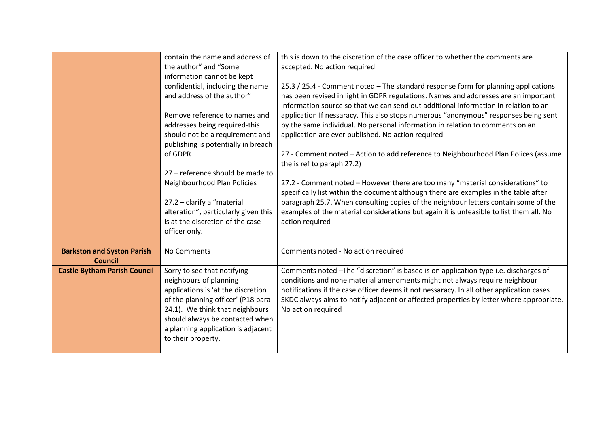|                                                     | contain the name and address of<br>the author" and "Some<br>information cannot be kept                                                                                                                                                                              | this is down to the discretion of the case officer to whether the comments are<br>accepted. No action required                                                                                                                                                                                                                                                                 |
|-----------------------------------------------------|---------------------------------------------------------------------------------------------------------------------------------------------------------------------------------------------------------------------------------------------------------------------|--------------------------------------------------------------------------------------------------------------------------------------------------------------------------------------------------------------------------------------------------------------------------------------------------------------------------------------------------------------------------------|
|                                                     | confidential, including the name<br>and address of the author"                                                                                                                                                                                                      | 25.3 / 25.4 - Comment noted - The standard response form for planning applications<br>has been revised in light in GDPR regulations. Names and addresses are an important<br>information source so that we can send out additional information in relation to an                                                                                                               |
|                                                     | Remove reference to names and<br>addresses being required-this<br>should not be a requirement and                                                                                                                                                                   | application If nessaracy. This also stops numerous "anonymous" responses being sent<br>by the same individual. No personal information in relation to comments on an<br>application are ever published. No action required                                                                                                                                                     |
|                                                     | publishing is potentially in breach<br>of GDPR.<br>27 - reference should be made to                                                                                                                                                                                 | 27 - Comment noted - Action to add reference to Neighbourhood Plan Polices (assume<br>the is ref to paraph 27.2)                                                                                                                                                                                                                                                               |
|                                                     | Neighbourhood Plan Policies<br>27.2 - clarify a "material                                                                                                                                                                                                           | 27.2 - Comment noted - However there are too many "material considerations" to<br>specifically list within the document although there are examples in the table after<br>paragraph 25.7. When consulting copies of the neighbour letters contain some of the                                                                                                                  |
|                                                     | alteration", particularly given this<br>is at the discretion of the case<br>officer only.                                                                                                                                                                           | examples of the material considerations but again it is unfeasible to list them all. No<br>action required                                                                                                                                                                                                                                                                     |
| <b>Barkston and Syston Parish</b><br><b>Council</b> | No Comments                                                                                                                                                                                                                                                         | Comments noted - No action required                                                                                                                                                                                                                                                                                                                                            |
| <b>Castle Bytham Parish Council</b>                 | Sorry to see that notifying<br>neighbours of planning<br>applications is 'at the discretion<br>of the planning officer' (P18 para<br>24.1). We think that neighbours<br>should always be contacted when<br>a planning application is adjacent<br>to their property. | Comments noted -The "discretion" is based is on application type i.e. discharges of<br>conditions and none material amendments might not always require neighbour<br>notifications if the case officer deems it not nessaracy. In all other application cases<br>SKDC always aims to notify adjacent or affected properties by letter where appropriate.<br>No action required |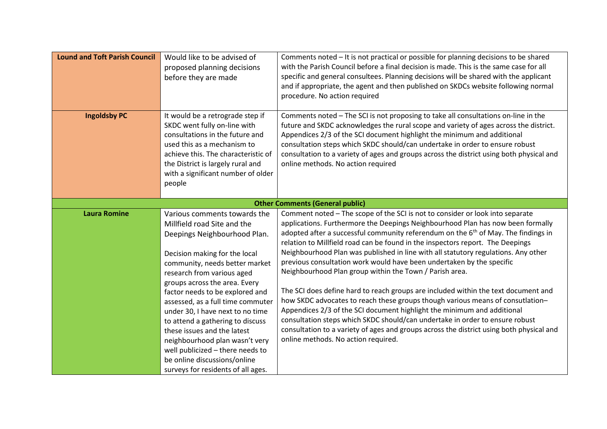| <b>Lound and Toft Parish Council</b> | Would like to be advised of<br>proposed planning decisions<br>before they are made                                                                                                                                                                                                   | Comments noted - It is not practical or possible for planning decisions to be shared<br>with the Parish Council before a final decision is made. This is the same case for all<br>specific and general consultees. Planning decisions will be shared with the applicant<br>and if appropriate, the agent and then published on SKDCs website following normal<br>procedure. No action required                                                                                                                                                                                                                                                                       |
|--------------------------------------|--------------------------------------------------------------------------------------------------------------------------------------------------------------------------------------------------------------------------------------------------------------------------------------|----------------------------------------------------------------------------------------------------------------------------------------------------------------------------------------------------------------------------------------------------------------------------------------------------------------------------------------------------------------------------------------------------------------------------------------------------------------------------------------------------------------------------------------------------------------------------------------------------------------------------------------------------------------------|
| <b>Ingoldsby PC</b>                  | It would be a retrograde step if<br>SKDC went fully on-line with<br>consultations in the future and<br>used this as a mechanism to<br>achieve this. The characteristic of<br>the District is largely rural and<br>with a significant number of older<br>people                       | Comments noted - The SCI is not proposing to take all consultations on-line in the<br>future and SKDC acknowledges the rural scope and variety of ages across the district.<br>Appendices 2/3 of the SCI document highlight the minimum and additional<br>consultation steps which SKDC should/can undertake in order to ensure robust<br>consultation to a variety of ages and groups across the district using both physical and<br>online methods. No action required                                                                                                                                                                                             |
|                                      |                                                                                                                                                                                                                                                                                      | <b>Other Comments (General public)</b>                                                                                                                                                                                                                                                                                                                                                                                                                                                                                                                                                                                                                               |
| <b>Laura Romine</b>                  | Various comments towards the<br>Millfield road Site and the<br>Deepings Neighbourhood Plan.<br>Decision making for the local<br>community, needs better market<br>research from various aged<br>groups across the area. Every<br>factor needs to be explored and                     | Comment noted - The scope of the SCI is not to consider or look into separate<br>applications. Furthermore the Deepings Neighbourhood Plan has now been formally<br>adopted after a successful community referendum on the 6 <sup>th</sup> of May. The findings in<br>relation to Millfield road can be found in the inspectors report. The Deepings<br>Neighbourhood Plan was published in line with all statutory regulations. Any other<br>previous consultation work would have been undertaken by the specific<br>Neighbourhood Plan group within the Town / Parish area.<br>The SCI does define hard to reach groups are included within the text document and |
|                                      | assessed, as a full time commuter<br>under 30, I have next to no time<br>to attend a gathering to discuss<br>these issues and the latest<br>neighbourhood plan wasn't very<br>well publicized - there needs to<br>be online discussions/online<br>surveys for residents of all ages. | how SKDC advocates to reach these groups though various means of consutlation-<br>Appendices 2/3 of the SCI document highlight the minimum and additional<br>consultation steps which SKDC should/can undertake in order to ensure robust<br>consultation to a variety of ages and groups across the district using both physical and<br>online methods. No action required.                                                                                                                                                                                                                                                                                         |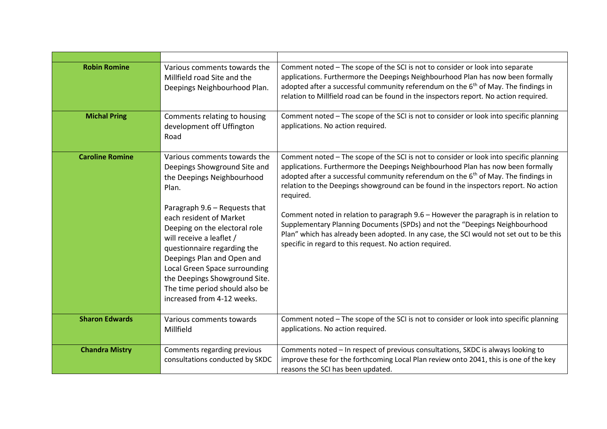| <b>Robin Romine</b>    | Various comments towards the<br>Millfield road Site and the<br>Deepings Neighbourhood Plan.                                                                                                                                                                                                                                                                                                                                 | Comment noted - The scope of the SCI is not to consider or look into separate<br>applications. Furthermore the Deepings Neighbourhood Plan has now been formally<br>adopted after a successful community referendum on the $6th$ of May. The findings in<br>relation to Millfield road can be found in the inspectors report. No action required.                                                                                                                                                                                                                                                                                                                                                             |
|------------------------|-----------------------------------------------------------------------------------------------------------------------------------------------------------------------------------------------------------------------------------------------------------------------------------------------------------------------------------------------------------------------------------------------------------------------------|---------------------------------------------------------------------------------------------------------------------------------------------------------------------------------------------------------------------------------------------------------------------------------------------------------------------------------------------------------------------------------------------------------------------------------------------------------------------------------------------------------------------------------------------------------------------------------------------------------------------------------------------------------------------------------------------------------------|
| <b>Michal Pring</b>    | Comments relating to housing<br>development off Uffington<br>Road                                                                                                                                                                                                                                                                                                                                                           | Comment noted - The scope of the SCI is not to consider or look into specific planning<br>applications. No action required.                                                                                                                                                                                                                                                                                                                                                                                                                                                                                                                                                                                   |
| <b>Caroline Romine</b> | Various comments towards the<br>Deepings Showground Site and<br>the Deepings Neighbourhood<br>Plan.<br>Paragraph 9.6 - Requests that<br>each resident of Market<br>Deeping on the electoral role<br>will receive a leaflet /<br>questionnaire regarding the<br>Deepings Plan and Open and<br>Local Green Space surrounding<br>the Deepings Showground Site.<br>The time period should also be<br>increased from 4-12 weeks. | Comment noted - The scope of the SCI is not to consider or look into specific planning<br>applications. Furthermore the Deepings Neighbourhood Plan has now been formally<br>adopted after a successful community referendum on the 6 <sup>th</sup> of May. The findings in<br>relation to the Deepings showground can be found in the inspectors report. No action<br>required.<br>Comment noted in relation to paragraph 9.6 - However the paragraph is in relation to<br>Supplementary Planning Documents (SPDs) and not the "Deepings Neighbourhood<br>Plan" which has already been adopted. In any case, the SCI would not set out to be this<br>specific in regard to this request. No action required. |
| <b>Sharon Edwards</b>  | Various comments towards<br>Millfield                                                                                                                                                                                                                                                                                                                                                                                       | Comment noted - The scope of the SCI is not to consider or look into specific planning<br>applications. No action required.                                                                                                                                                                                                                                                                                                                                                                                                                                                                                                                                                                                   |
| <b>Chandra Mistry</b>  | Comments regarding previous<br>consultations conducted by SKDC                                                                                                                                                                                                                                                                                                                                                              | Comments noted - In respect of previous consultations, SKDC is always looking to<br>improve these for the forthcoming Local Plan review onto 2041, this is one of the key<br>reasons the SCI has been updated.                                                                                                                                                                                                                                                                                                                                                                                                                                                                                                |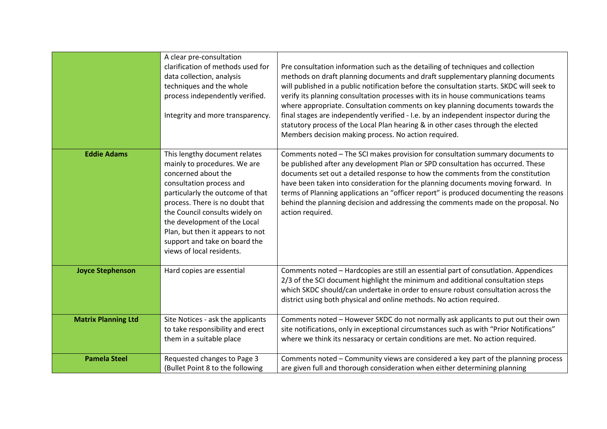|                            | A clear pre-consultation<br>clarification of methods used for<br>data collection, analysis<br>techniques and the whole<br>process independently verified.<br>Integrity and more transparency.                                                                                                                                                               | Pre consultation information such as the detailing of techniques and collection<br>methods on draft planning documents and draft supplementary planning documents<br>will published in a public notification before the consultation starts. SKDC will seek to<br>verify its planning consultation processes with its in house communications teams<br>where appropriate. Consultation comments on key planning documents towards the<br>final stages are independently verified - I.e. by an independent inspector during the<br>statutory process of the Local Plan hearing & in other cases through the elected<br>Members decision making process. No action required. |
|----------------------------|-------------------------------------------------------------------------------------------------------------------------------------------------------------------------------------------------------------------------------------------------------------------------------------------------------------------------------------------------------------|----------------------------------------------------------------------------------------------------------------------------------------------------------------------------------------------------------------------------------------------------------------------------------------------------------------------------------------------------------------------------------------------------------------------------------------------------------------------------------------------------------------------------------------------------------------------------------------------------------------------------------------------------------------------------|
| <b>Eddie Adams</b>         | This lengthy document relates<br>mainly to procedures. We are<br>concerned about the<br>consultation process and<br>particularly the outcome of that<br>process. There is no doubt that<br>the Council consults widely on<br>the development of the Local<br>Plan, but then it appears to not<br>support and take on board the<br>views of local residents. | Comments noted - The SCI makes provision for consultation summary documents to<br>be published after any development Plan or SPD consultation has occurred. These<br>documents set out a detailed response to how the comments from the constitution<br>have been taken into consideration for the planning documents moving forward. In<br>terms of Planning applications an "officer report" is produced documenting the reasons<br>behind the planning decision and addressing the comments made on the proposal. No<br>action required.                                                                                                                                |
| <b>Joyce Stephenson</b>    | Hard copies are essential                                                                                                                                                                                                                                                                                                                                   | Comments noted - Hardcopies are still an essential part of consutlation. Appendices<br>2/3 of the SCI document highlight the minimum and additional consultation steps<br>which SKDC should/can undertake in order to ensure robust consultation across the<br>district using both physical and online methods. No action required.                                                                                                                                                                                                                                                                                                                                        |
| <b>Matrix Planning Ltd</b> | Site Notices - ask the applicants<br>to take responsibility and erect<br>them in a suitable place                                                                                                                                                                                                                                                           | Comments noted - However SKDC do not normally ask applicants to put out their own<br>site notifications, only in exceptional circumstances such as with "Prior Notifications"<br>where we think its nessaracy or certain conditions are met. No action required.                                                                                                                                                                                                                                                                                                                                                                                                           |
| <b>Pamela Steel</b>        | Requested changes to Page 3<br>(Bullet Point 8 to the following                                                                                                                                                                                                                                                                                             | Comments noted - Community views are considered a key part of the planning process<br>are given full and thorough consideration when either determining planning                                                                                                                                                                                                                                                                                                                                                                                                                                                                                                           |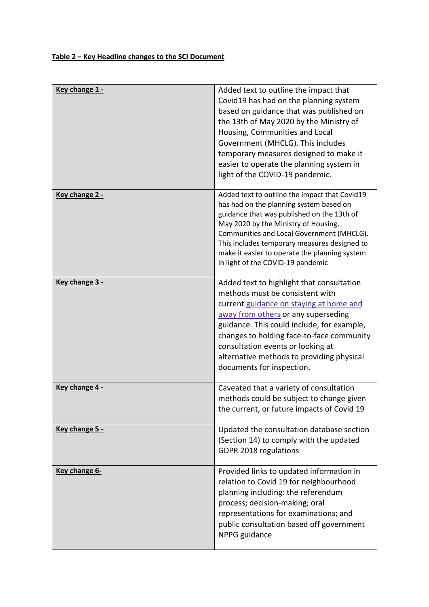| Key change 1 - | Added text to outline the impact that<br>Covid19 has had on the planning system<br>based on guidance that was published on<br>the 13th of May 2020 by the Ministry of<br>Housing, Communities and Local<br>Government (MHCLG). This includes<br>temporary measures designed to make it<br>easier to operate the planning system in<br>light of the COVID-19 pandemic.    |
|----------------|--------------------------------------------------------------------------------------------------------------------------------------------------------------------------------------------------------------------------------------------------------------------------------------------------------------------------------------------------------------------------|
| Key change 2 - | Added text to outline the impact that Covid19<br>has had on the planning system based on<br>guidance that was published on the 13th of<br>May 2020 by the Ministry of Housing,<br>Communities and Local Government (MHCLG).<br>This includes temporary measures designed to<br>make it easier to operate the planning system<br>in light of the COVID-19 pandemic        |
| Key change 3 - | Added text to highlight that consultation<br>methods must be consistent with<br>current guidance on staying at home and<br>away from others or any superseding<br>guidance. This could include, for example,<br>changes to holding face-to-face community<br>consultation events or looking at<br>alternative methods to providing physical<br>documents for inspection. |
| Key change 4 - | Caveated that a variety of consultation<br>methods could be subject to change given<br>the current, or future impacts of Covid 19                                                                                                                                                                                                                                        |
| Key change 5 - | Updated the consultation database section<br>(Section 14) to comply with the updated<br>GDPR 2018 regulations                                                                                                                                                                                                                                                            |
| Key change 6-  | Provided links to updated information in<br>relation to Covid 19 for neighbourhood<br>planning including: the referendum<br>process; decision-making; oral<br>representations for examinations; and<br>public consultation based off government<br>NPPG guidance                                                                                                         |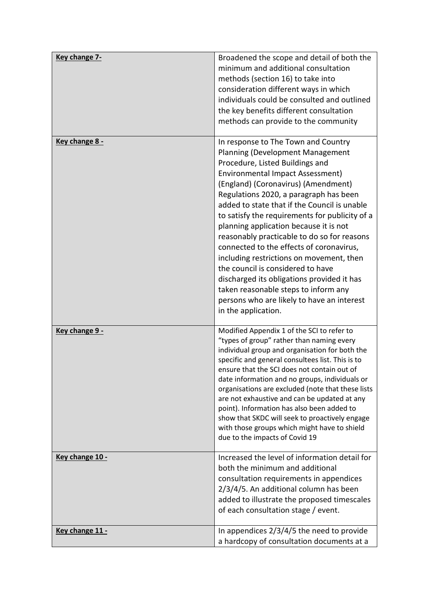| Key change 7-   | Broadened the scope and detail of both the<br>minimum and additional consultation<br>methods (section 16) to take into<br>consideration different ways in which<br>individuals could be consulted and outlined<br>the key benefits different consultation<br>methods can provide to the community                                                                                                                                                                                                                                                                                                                                                                                                                  |
|-----------------|--------------------------------------------------------------------------------------------------------------------------------------------------------------------------------------------------------------------------------------------------------------------------------------------------------------------------------------------------------------------------------------------------------------------------------------------------------------------------------------------------------------------------------------------------------------------------------------------------------------------------------------------------------------------------------------------------------------------|
| Key change 8 -  | In response to The Town and Country<br>Planning (Development Management<br>Procedure, Listed Buildings and<br>Environmental Impact Assessment)<br>(England) (Coronavirus) (Amendment)<br>Regulations 2020, a paragraph has been<br>added to state that if the Council is unable<br>to satisfy the requirements for publicity of a<br>planning application because it is not<br>reasonably practicable to do so for reasons<br>connected to the effects of coronavirus,<br>including restrictions on movement, then<br>the council is considered to have<br>discharged its obligations provided it has<br>taken reasonable steps to inform any<br>persons who are likely to have an interest<br>in the application. |
| Key change 9 -  | Modified Appendix 1 of the SCI to refer to<br>"types of group" rather than naming every<br>individual group and organisation for both the<br>specific and general consultees list. This is to<br>ensure that the SCI does not contain out of<br>date information and no groups, individuals or<br>organisations are excluded (note that these lists<br>are not exhaustive and can be updated at any<br>point). Information has also been added to<br>show that SKDC will seek to proactively engage<br>with those groups which might have to shield<br>due to the impacts of Covid 19                                                                                                                              |
| Key change 10 - | Increased the level of information detail for<br>both the minimum and additional<br>consultation requirements in appendices<br>2/3/4/5. An additional column has been<br>added to illustrate the proposed timescales<br>of each consultation stage / event.                                                                                                                                                                                                                                                                                                                                                                                                                                                        |
| Key change 11 - | In appendices 2/3/4/5 the need to provide<br>a hardcopy of consultation documents at a                                                                                                                                                                                                                                                                                                                                                                                                                                                                                                                                                                                                                             |